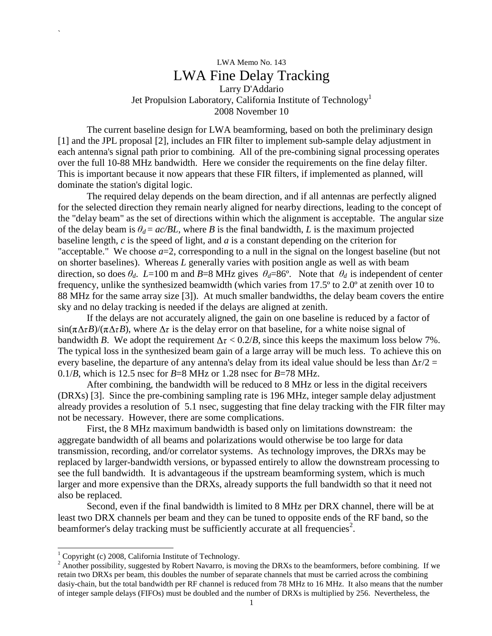# LWA Memo No. 143 LWA Fine Delay Tracking Larry D'Addario Jet Propulsion Laboratory, California Institute of Technology<sup>1</sup> 2008 November 10

The current baseline design for LWA beamforming, based on both the preliminary design [1] and the JPL proposal [2], includes an FIR filter to implement sub-sample delay adjustment in each antenna's signal path prior to combining. All of the pre-combining signal processing operates over the full 10-88 MHz bandwidth. Here we consider the requirements on the fine delay filter. This is important because it now appears that these FIR filters, if implemented as planned, will dominate the station's digital logic.

The required delay depends on the beam direction, and if all antennas are perfectly aligned for the selected direction they remain nearly aligned for nearby directions, leading to the concept of the "delay beam" as the set of directions within which the alignment is acceptable. The angular size of the delay beam is  $\theta_d = ac/BL$ , where *B* is the final bandwidth, *L* is the maximum projected baseline length, *c* is the speed of light, and *a* is a constant depending on the criterion for "acceptable." We choose  $a=2$ , corresponding to a null in the signal on the longest baseline (but not on shorter baselines). Whereas *L* generally varies with position angle as well as with beam direction, so does  $\theta_d$ . *L*=100 m and *B*=8 MHz gives  $\theta_d$ =86°. Note that  $\theta_d$  is independent of center frequency, unlike the synthesized beamwidth (which varies from 17.5º to 2.0º at zenith over 10 to 88 MHz for the same array size [3]). At much smaller bandwidths, the delay beam covers the entire sky and no delay tracking is needed if the delays are aligned at zenith.

If the delays are not accurately aligned, the gain on one baseline is reduced by a factor of  $\sin(\pi \Delta \tau B)/(\pi \Delta \tau B)$ , where  $\Delta \tau$  is the delay error on that baseline, for a white noise signal of bandwidth *B*. We adopt the requirement  $\Delta \tau < 0.2/B$ , since this keeps the maximum loss below 7%. The typical loss in the synthesized beam gain of a large array will be much less. To achieve this on every baseline, the departure of any antenna's delay from its ideal value should be less than  $\Delta \tau / 2 =$ 0.1/*B*, which is 12.5 nsec for *B*=8 MHz or 1.28 nsec for *B*=78 MHz.

After combining, the bandwidth will be reduced to 8 MHz or less in the digital receivers (DRXs) [3]. Since the pre-combining sampling rate is 196 MHz, integer sample delay adjustment already provides a resolution of 5.1 nsec, suggesting that fine delay tracking with the FIR filter may not be necessary. However, there are some complications.

First, the 8 MHz maximum bandwidth is based only on limitations downstream: the aggregate bandwidth of all beams and polarizations would otherwise be too large for data transmission, recording, and/or correlator systems. As technology improves, the DRXs may be replaced by larger-bandwidth versions, or bypassed entirely to allow the downstream processing to see the full bandwidth. It is advantageous if the upstream beamforming system, which is much larger and more expensive than the DRXs, already supports the full bandwidth so that it need not also be replaced.

Second, even if the final bandwidth is limited to 8 MHz per DRX channel, there will be at least two DRX channels per beam and they can be tuned to opposite ends of the RF band, so the beamformer's delay tracking must be sufficiently accurate at all frequencies<sup>2</sup>.

-

`

<sup>&</sup>lt;sup>1</sup> Copyright (c) 2008, California Institute of Technology.

 $2^2$  Another possibility, suggested by Robert Navarro, is moving the DRXs to the beamformers, before combining. If we retain two DRXs per beam, this doubles the number of separate channels that must be carried across the combining dasiy-chain, but the total bandwidth per RF channel is reduced from 78 MHz to 16 MHz. It also means that the number of integer sample delays (FIFOs) must be doubled and the number of DRXs is multiplied by 256. Nevertheless, the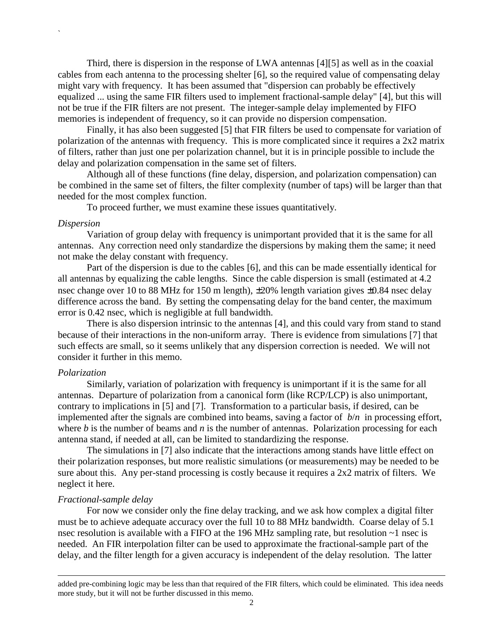Third, there is dispersion in the response of LWA antennas [4][5] as well as in the coaxial cables from each antenna to the processing shelter [6], so the required value of compensating delay might vary with frequency. It has been assumed that "dispersion can probably be effectively equalized ... using the same FIR filters used to implement fractional-sample delay" [4], but this will not be true if the FIR filters are not present. The integer-sample delay implemented by FIFO memories is independent of frequency, so it can provide no dispersion compensation.

Finally, it has also been suggested [5] that FIR filters be used to compensate for variation of polarization of the antennas with frequency. This is more complicated since it requires a 2x2 matrix of filters, rather than just one per polarization channel, but it is in principle possible to include the delay and polarization compensation in the same set of filters.

Although all of these functions (fine delay, dispersion, and polarization compensation) can be combined in the same set of filters, the filter complexity (number of taps) will be larger than that needed for the most complex function.

To proceed further, we must examine these issues quantitatively.

#### *Dispersion*

`

Variation of group delay with frequency is unimportant provided that it is the same for all antennas. Any correction need only standardize the dispersions by making them the same; it need not make the delay constant with frequency.

Part of the dispersion is due to the cables [6], and this can be made essentially identical for all antennas by equalizing the cable lengths. Since the cable dispersion is small (estimated at 4.2 nsec change over 10 to 88 MHz for 150 m length), ±20% length variation gives ±0.84 nsec delay difference across the band. By setting the compensating delay for the band center, the maximum error is 0.42 nsec, which is negligible at full bandwidth.

There is also dispersion intrinsic to the antennas [4], and this could vary from stand to stand because of their interactions in the non-uniform array. There is evidence from simulations [7] that such effects are small, so it seems unlikely that any dispersion correction is needed. We will not consider it further in this memo.

## *Polarization*

Similarly, variation of polarization with frequency is unimportant if it is the same for all antennas. Departure of polarization from a canonical form (like RCP/LCP) is also unimportant, contrary to implications in [5] and [7]. Transformation to a particular basis, if desired, can be implemented after the signals are combined into beams, saving a factor of *b*/*n* in processing effort, where *b* is the number of beams and *n* is the number of antennas. Polarization processing for each antenna stand, if needed at all, can be limited to standardizing the response.

The simulations in [7] also indicate that the interactions among stands have little effect on their polarization responses, but more realistic simulations (or measurements) may be needed to be sure about this. Any per-stand processing is costly because it requires a 2x2 matrix of filters. We neglect it here.

## *Fractional-sample delay*

-

For now we consider only the fine delay tracking, and we ask how complex a digital filter must be to achieve adequate accuracy over the full 10 to 88 MHz bandwidth. Coarse delay of 5.1 nsec resolution is available with a FIFO at the 196 MHz sampling rate, but resolution  $\sim$ 1 nsec is needed. An FIR interpolation filter can be used to approximate the fractional-sample part of the delay, and the filter length for a given accuracy is independent of the delay resolution. The latter

added pre-combining logic may be less than that required of the FIR filters, which could be eliminated. This idea needs more study, but it will not be further discussed in this memo.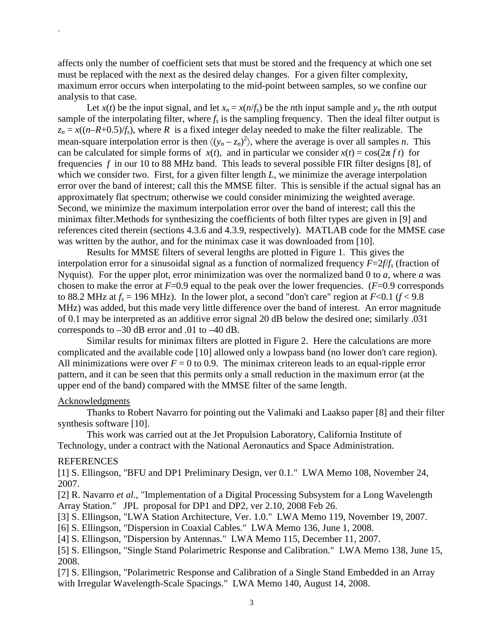affects only the number of coefficient sets that must be stored and the frequency at which one set must be replaced with the next as the desired delay changes. For a given filter complexity, maximum error occurs when interpolating to the mid-point between samples, so we confine our analysis to that case.

Let  $x(t)$  be the input signal, and let  $x_n = x(n/f_s)$  be the *n*th input sample and  $y_n$  the *n*th output sample of the interpolating filter, where  $f_s$  is the sampling frequency. Then the ideal filter output is  $z_n = x((n-R+0.5)/f_s)$ , where *R* is a fixed integer delay needed to make the filter realizable. The mean-square interpolation error is then  $\langle (y_n - z_n)^2 \rangle$ , where the average is over all samples *n*. This can be calculated for simple forms of  $x(t)$ , and in particular we consider  $x(t) = \cos(2\pi f t)$  for frequencies *f* in our 10 to 88 MHz band. This leads to several possible FIR filter designs [8], of which we consider two. First, for a given filter length *L*, we minimize the average interpolation error over the band of interest; call this the MMSE filter. This is sensible if the actual signal has an approximately flat spectrum; otherwise we could consider minimizing the weighted average. Second, we minimize the maximum interpolation error over the band of interest; call this the minimax filter.Methods for synthesizing the coefficients of both filter types are given in [9] and references cited therein (sections 4.3.6 and 4.3.9, respectively). MATLAB code for the MMSE case was written by the author, and for the minimax case it was downloaded from [10].

Results for MMSE filters of several lengths are plotted in Figure 1. This gives the interpolation error for a sinusoidal signal as a function of normalized frequency *F*=2*f*/*fs* (fraction of Nyquist). For the upper plot, error minimization was over the normalized band 0 to *a*, where *a* was chosen to make the error at  $F=0.9$  equal to the peak over the lower frequencies. ( $F=0.9$  corresponds to 88.2 MHz at  $f_s = 196$  MHz). In the lower plot, a second "don't care" region at  $F < 0.1$  ( $f < 9.8$ ) MHz) was added, but this made very little difference over the band of interest. An error magnitude of 0.1 may be interpreted as an additive error signal 20 dB below the desired one; similarly .031 corresponds to –30 dB error and .01 to –40 dB.

Similar results for minimax filters are plotted in Figure 2. Here the calculations are more complicated and the available code [10] allowed only a lowpass band (no lower don't care region). All minimizations were over  $F = 0$  to 0.9. The minimax critereon leads to an equal-ripple error pattern, and it can be seen that this permits only a small reduction in the maximum error (at the upper end of the band) compared with the MMSE filter of the same length.

#### Acknowledgments

`

Thanks to Robert Navarro for pointing out the Valimaki and Laakso paper [8] and their filter synthesis software [10].

This work was carried out at the Jet Propulsion Laboratory, California Institute of Technology, under a contract with the National Aeronautics and Space Administration.

## **REFERENCES**

[1] S. Ellingson, "BFU and DP1 Preliminary Design, ver 0.1." LWA Memo 108, November 24, 2007.

[2] R. Navarro *et al.*, "Implementation of a Digital Processing Subsystem for a Long Wavelength Array Station." JPL proposal for DP1 and DP2, ver 2.10, 2008 Feb 26.

[3] S. Ellingson, "LWA Station Architecture, Ver. 1.0." LWA Memo 119, November 19, 2007.

[6] S. Ellingson, "Dispersion in Coaxial Cables." LWA Memo 136, June 1, 2008.

[4] S. Ellingson, "Dispersion by Antennas." LWA Memo 115, December 11, 2007.

[5] S. Ellingson, "Single Stand Polarimetric Response and Calibration." LWA Memo 138, June 15, 2008.

[7] S. Ellingson, "Polarimetric Response and Calibration of a Single Stand Embedded in an Array with Irregular Wavelength-Scale Spacings." LWA Memo 140, August 14, 2008.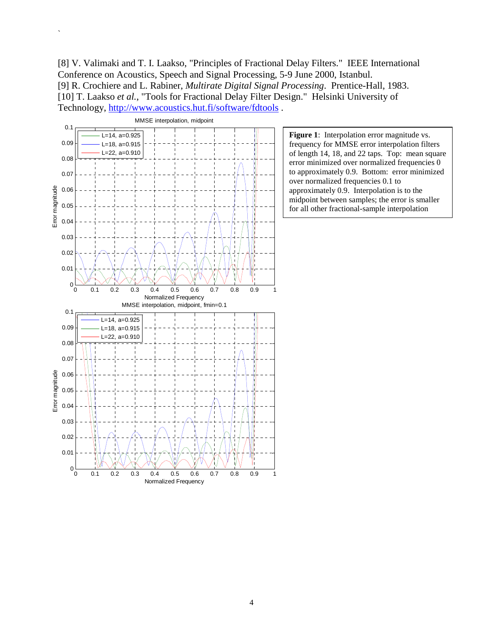[8] V. Valimaki and T. I. Laakso, "Principles of Fractional Delay Filters." IEEE International Conference on Acoustics, Speech and Signal Processing, 5-9 June 2000, Istanbul. [9] R. Crochiere and L. Rabiner, *Multirate Digital Signal Processing*. Prentice-Hall, 1983. [10] T. Laakso *et al.*, "Tools for Fractional Delay Filter Design." Helsinki University of Technology, http://www.acoustics.hut.fi/software/fdtools .



`

**Figure 1**: Interpolation error magnitude vs. frequency for MMSE error interpolation filters of length 14, 18, and 22 taps. Top: mean square error minimized over normalized frequencies 0 to approximately 0.9. Bottom: error minimized over normalized frequencies 0.1 to approximately 0.9. Interpolation is to the midpoint between samples; the error is smaller for all other fractional-sample interpolation